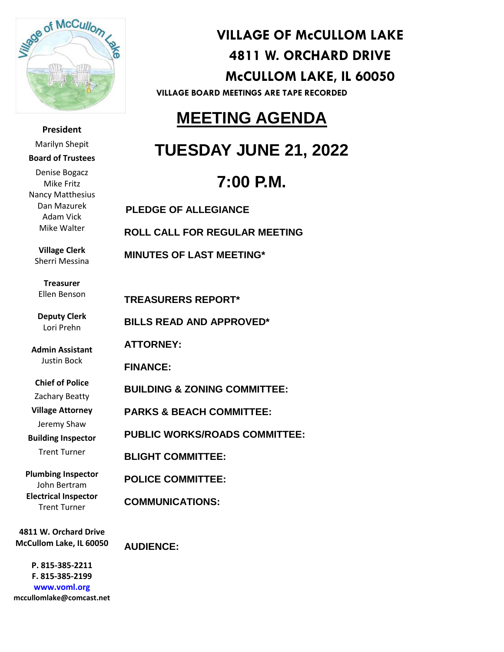

**President** Marilyn Shepit **Board of Trustees** Denise Bogacz Mike Fritz Nancy Matthesius Dan Mazurek Adam Vick

**Village Clerk** Sherri Messina

Mike Walter

**Treasurer** Ellen Benson

**Deputy Clerk** Lori Prehn

**Admin Assistant** Justin Bock

**Chief of Police**

Zachary Beatty

**Village Attorney**

Jeremy Shaw

**Building Inspector**

Trent Turner

**Plumbing Inspector** John Bertram **Electrical Inspector** Trent Turner

**4811 W. Orchard Drive McCullom Lake, IL 60050**

 **mccullomlake@comcast.netP. 815-385-2211 F. 815-385-2199 www.voml.org**

**VILLAGE OF McCULLOM LAKE 4811 W. ORCHARD DRIVE McCULLOM LAKE, IL 60050**

**VILLAGE BOARD MEETINGS ARE TAPE RECORDED**

## **MEETING AGENDA**

## **TUESDAY JUNE 21, 2022**

# **7:00 P.M.**

 **PLEDGE OF ALLEGIANCE ROLL CALL FOR REGULAR MEETING MINUTES OF LAST MEETING\* TREASURERS REPORT\* BILLS READ AND APPROVED\* ATTORNEY: FINANCE: BUILDING & ZONING COMMITTEE: PARKS & BEACH COMMITTEE: PUBLIC WORKS/ROADS COMMITTEE: BLIGHT COMMITTEE: POLICE COMMITTEE: COMMUNICATIONS:**

**AUDIENCE:**